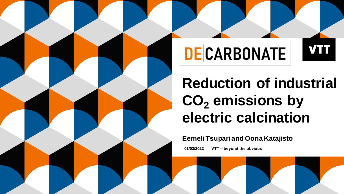

# **DECARBONATE**

**Reduction of industrial**  $CO<sub>2</sub>$  emissions by electric calcination

**VTT** 

#### Eemeli Tsupari and Oona Katajisto

01/03/2022 VTT - beyond the obvious

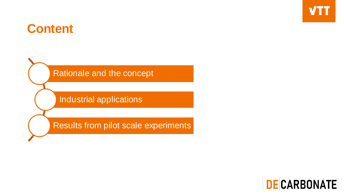#### **Content**

Rationale and the concept

Industrial applications

Results from pilot scale experiments

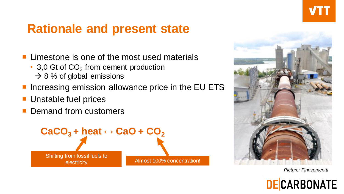### **Rationale and present state**

- **Limestone is one of the most used materials** 
	- 3,0 Gt of  $CO<sub>2</sub>$  from cement production  $\rightarrow$  8 % of global emissions
- Increasing emission allowance price in the EU ETS
- **Unstable fuel prices**
- Demand from customers





*Picture: Finnsementti*

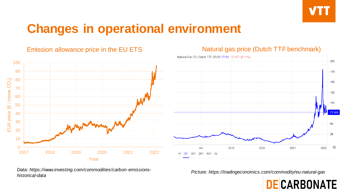

### **Changes in operational environment**

#### [ $\epsilon$  / tonne  $CO<sub>2</sub>$ ] EUA price [ $\in$  / tonne CO $_2$ ] EUA price  $\Omega$ Jan 2018 2019 2020 2021 2022 Year

#### Emission allowance price in the EU ETS Natural gas price (Dutch TTF benchmark)

Natural Gas EU Dutch TTF (EUR) 77.61 -5.047 (-6.11%) හි 1Y 5Y 10Y 25Y 50Y All

*Picture: https://tradingeconomics.com/commodity/eu-natural-gas Data: https://www.investing.com/commodities/carbon-emissionshistorical-data*

# **ECARBONATE**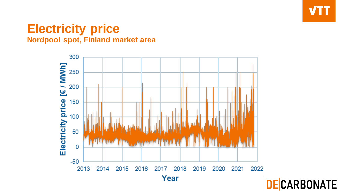# **Electricity price**

**Nordpool spot, Finland market area**



**VTT**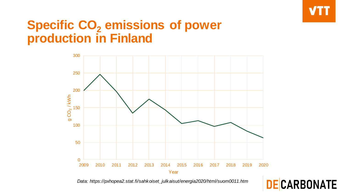### **Specific CO<sup>2</sup> emissions of power production in Finland**



*Data: https://pxhopea2.stat.fi/sahkoiset\_julkaisut/energia2020/html/suom0011.htm*

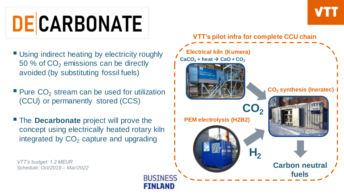# **DECARBONATE**

- Using indirect heating by electricity roughly 50 % of  $CO<sub>2</sub>$  emissions can be directly avoided (by substituting fossil fuels)
- $\blacksquare$  Pure CO<sub>2</sub> stream can be used for utilization (CCU) or permanently stored (CCS)
- The **Decarbonate** project will prove the concept using electrically heated rotary kiln integrated by  $CO<sub>2</sub>$  capture and upgrading

*VTT's budget: 1.2 MEUR Schedule: Oct/2019 – Mar/2022*

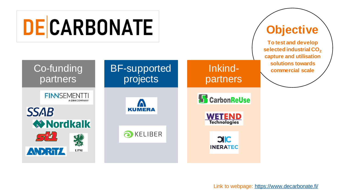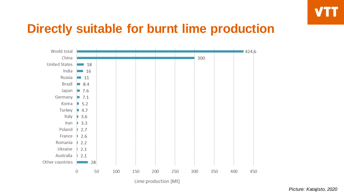

### **Directly suitable for burnt lime production**



Lime production [Mt]

*Picture: Katajisto, 2020*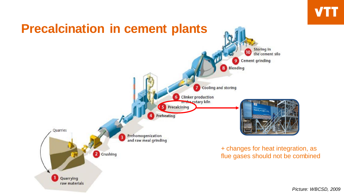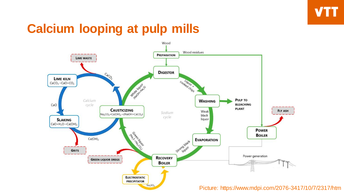# **Calcium looping at pulp mills**

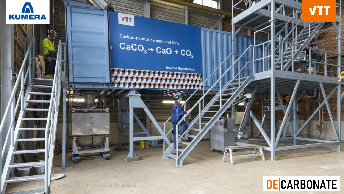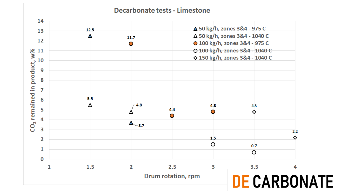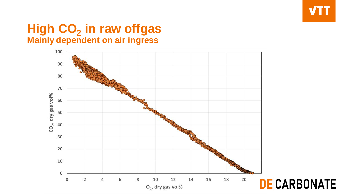#### **High CO<sup>2</sup> in raw offgas Mainly dependent on air ingress**